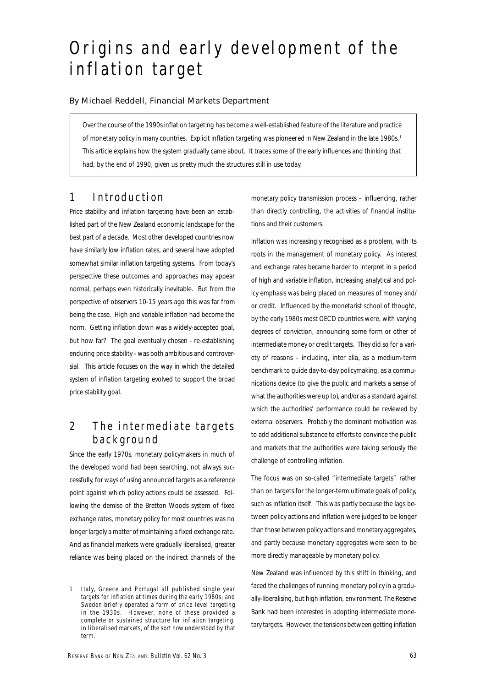# Origins and early development of the inflation target

By Michael Reddell, Financial Markets Department

Over the course of the 1990s inflation targeting has become a well-established feature of the literature and practice of monetary policy in many countries. Explicit inflation targeting was pioneered in New Zealand in the late 1980s.<sup>1</sup> This article explains how the system gradually came about. It traces some of the early influences and thinking that had, by the end of 1990, given us pretty much the structures still in use today.

# 1 Introduction

Price stability and inflation targeting have been an established part of the New Zealand economic landscape for the best part of a decade. Most other developed countries now have similarly low inflation rates, and several have adopted somewhat similar inflation targeting systems. From today's perspective these outcomes and approaches may appear normal, perhaps even historically inevitable. But from the perspective of observers 10-15 years ago this was far from being the case. High and variable inflation had become the norm. Getting inflation down was a widely-accepted goal, but how far? The goal eventually chosen - re-establishing enduring price stability - was both ambitious and controversial. This article focuses on the way in which the detailed system of inflation targeting evolved to support the broad price stability goal.

# 2 The intermediate targets background

Since the early 1970s, monetary policymakers in much of the developed world had been searching, not always successfully, for ways of using announced targets as a reference point against which policy actions could be assessed. Following the demise of the Bretton Woods system of fixed exchange rates, monetary policy for most countries was no longer largely a matter of maintaining a fixed exchange rate. And as financial markets were gradually liberalised, greater reliance was being placed on the indirect channels of the

monetary policy transmission process – influencing, rather than directly controlling, the activities of financial institutions and their customers.

Inflation was increasingly recognised as a problem, with its roots in the management of monetary policy. As interest and exchange rates became harder to interpret in a period of high and variable inflation, increasing analytical and policy emphasis was being placed on measures of money and/ or credit. Influenced by the monetarist school of thought, by the early 1980s most OECD countries were, with varying degrees of conviction, announcing some form or other of intermediate money or credit targets. They did so for a variety of reasons – including, *inter alia*, as a medium-term benchmark to guide day-to-day policymaking, as a communications device (to give the public and markets a sense of what the authorities were up to), and/or as a standard against which the authorities' performance could be reviewed by external observers. Probably the dominant motivation was to add additional substance to efforts to convince the public and markets that the authorities were taking seriously the challenge of controlling inflation.

The focus was on so-called "intermediate targets" rather than on targets for the longer-term ultimate goals of policy, such as inflation itself. This was partly because the lags between policy actions and inflation were judged to be longer than those between policy actions and monetary aggregates, and partly because monetary aggregates were seen to be more directly manageable by monetary policy.

New Zealand was influenced by this shift in thinking, and faced the challenges of running monetary policy in a gradually-liberalising, but high inflation, environment. The Reserve Bank had been interested in adopting intermediate monetary targets. However, the tensions between getting inflation

<sup>1</sup> Italy, Greece and Portugal all published single year targets for inflation at times during the early 1980s, and Sweden briefly operated a form of price level targeting in the 1930s. However, none of these provided a complete or sustained structure for inflation targeting, in liberalised markets, of the sort now understood by that term.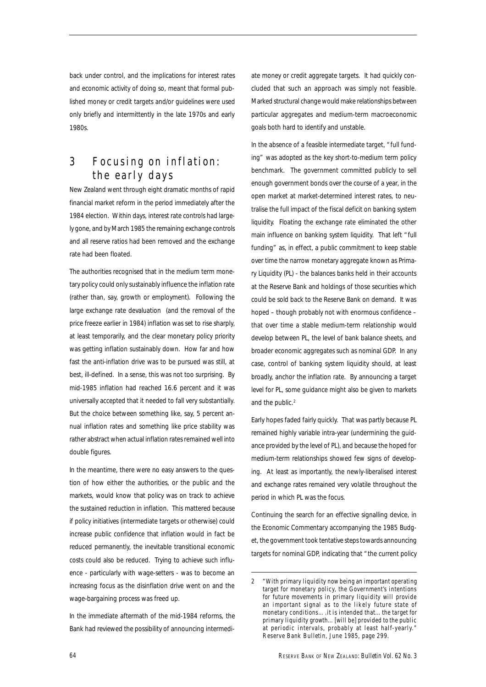back under control, and the implications for interest rates and economic activity of doing so, meant that formal published money or credit targets and/or guidelines were used only briefly and intermittently in the late 1970s and early 1980s.

## 3 Focusing on inflation: the early days

New Zealand went through eight dramatic months of rapid financial market reform in the period immediately after the 1984 election. Within days, interest rate controls had largely gone, and by March 1985 the remaining exchange controls and all reserve ratios had been removed and the exchange rate had been floated.

The authorities recognised that in the medium term monetary policy could only sustainably influence the inflation rate (rather than, say, growth or employment). Following the large exchange rate devaluation (and the removal of the price freeze earlier in 1984) inflation was set to rise sharply, at least temporarily, and the clear monetary policy priority was getting inflation sustainably down. How far and how fast the anti-inflation drive was to be pursued was still, at best, ill-defined. In a sense, this was not too surprising. By mid-1985 inflation had reached 16.6 percent and it was universally accepted that it needed to fall very substantially. But the choice between something like, say, 5 percent annual inflation rates and something like price stability was rather abstract when actual inflation rates remained well into double figures.

In the meantime, there were no easy answers to the question of how either the authorities, or the public and the markets, would know that policy was on track to achieve the sustained reduction in inflation. This mattered because if policy initiatives (intermediate targets or otherwise) could increase public confidence that inflation would in fact be reduced permanently, the inevitable transitional economic costs could also be reduced. Trying to achieve such influence - particularly with wage-setters - was to become an increasing focus as the disinflation drive went on and the wage-bargaining process was freed up.

In the immediate aftermath of the mid-1984 reforms, the Bank had reviewed the possibility of announcing intermediate money or credit aggregate targets. It had quickly concluded that such an approach was simply not feasible. Marked structural change would make relationships between particular aggregates and medium-term macroeconomic goals both hard to identify and unstable.

In the absence of a feasible intermediate target, "full funding" was adopted as the key short-to-medium term policy benchmark. The government committed publicly to sell enough government bonds over the course of a year, in the open market at market-determined interest rates, to neutralise the full impact of the fiscal deficit on banking system liquidity. Floating the exchange rate eliminated the other main influence on banking system liquidity. That left "full funding" as, in effect, a public commitment to keep stable over time the narrow monetary aggregate known as Primary Liquidity (PL) - the balances banks held in their accounts at the Reserve Bank and holdings of those securities which could be sold back to the Reserve Bank on demand. It was hoped – though probably not with enormous confidence – that over time a stable medium-term relationship would develop between PL, the level of bank balance sheets, and broader economic aggregates such as nominal GDP. In any case, control of banking system liquidity should, at least broadly, anchor the inflation rate. By announcing a target level for PL, some guidance might also be given to markets and the public.<sup>2</sup>

Early hopes faded fairly quickly. That was partly because PL remained highly variable intra-year (undermining the guidance provided by the level of PL), and because the hoped for medium-term relationships showed few signs of developing. At least as importantly, the newly-liberalised interest and exchange rates remained very volatile throughout the period in which PL was the focus.

Continuing the search for an effective signalling device, in the *Economic Commentary* accompanying the 1985 Budget, the government took tentative steps towards announcing targets for nominal GDP, indicating that "the current policy

<sup>2 &</sup>quot;With primary liquidity now being an important operating target for monetary policy, the Government's intentions for future movements in primary liquidity will provide an important signal as to the likely future state of monetary conditions….it is intended that…the target for primary liquidity growth…[will be] provided to the public at periodic intervals, probably at least half-yearly." Reserve Bank *Bulletin*, June 1985, page 299.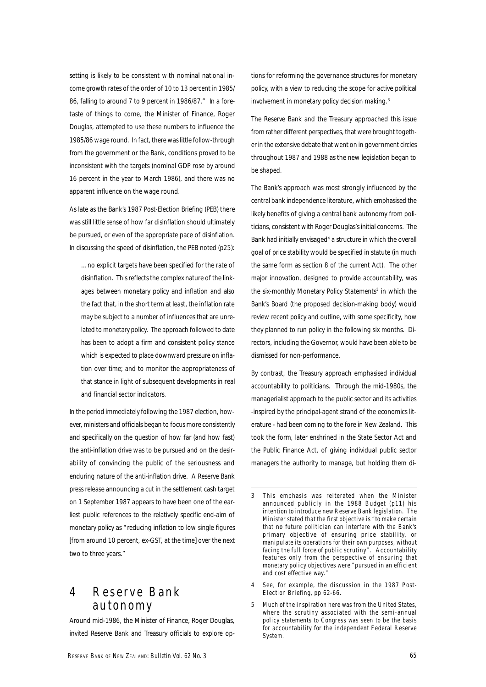setting is likely to be consistent with nominal national income growth rates of the order of 10 to 13 percent in 1985/ 86, falling to around 7 to 9 percent in 1986/87." In a foretaste of things to come, the Minister of Finance, Roger Douglas, attempted to use these numbers to influence the 1985/86 wage round. In fact, there was little follow-through from the government or the Bank, conditions proved to be inconsistent with the targets (nominal GDP rose by around 16 percent in the year to March 1986), and there was no apparent influence on the wage round.

As late as the Bank's 1987 Post-Election Briefing (PEB) there was still little sense of how far disinflation should ultimately be pursued, or even of the appropriate pace of disinflation. In discussing the speed of disinflation, the PEB noted (p25):

…no explicit targets have been specified for the rate of disinflation. This reflects the complex nature of the linkages between monetary policy and inflation and also the fact that, in the short term at least, the inflation rate may be subject to a number of influences that are unrelated to monetary policy. The approach followed to date has been to adopt a firm and consistent policy stance which is expected to place downward pressure on inflation over time; and to monitor the appropriateness of that stance in light of subsequent developments in real and financial sector indicators.

In the period immediately following the 1987 election, however, ministers and officials began to focus more consistently and specifically on the question of how far (and how fast) the anti-inflation drive was to be pursued and on the desirability of convincing the public of the seriousness and enduring nature of the anti-inflation drive. A Reserve Bank press release announcing a cut in the settlement cash target on 1 September 1987 appears to have been one of the earliest public references to the relatively specific end-aim of monetary policy as "reducing inflation to low single figures [from around 10 percent, ex-GST, at the time] over the next two to three years."

## 4 Reserve Bank autonomy

Around mid-1986, the Minister of Finance, Roger Douglas, invited Reserve Bank and Treasury officials to explore options for reforming the governance structures for monetary policy, with a view to reducing the scope for active political involvement in monetary policy decision making.<sup>3</sup>

The Reserve Bank and the Treasury approached this issue from rather different perspectives, that were brought together in the extensive debate that went on in government circles throughout 1987 and 1988 as the new legislation began to be shaped.

The Bank's approach was most strongly influenced by the central bank independence literature, which emphasised the likely benefits of giving a central bank *autonomy* from politicians, consistent with Roger Douglas's initial concerns. The Bank had initially envisaged<sup>4</sup> a structure in which the overall goal of price stability would be specified in statute (in much the same form as section 8 of the current Act). The other major innovation, designed to provide accountability, was the six-monthly *Monetary Policy Statements*<sup>5</sup> in which the Bank's Board (the proposed decision-making body) would review recent policy and outline, with some specificity, how they planned to run policy in the following six months. Directors, including the Governor, would have been able to be dismissed for non-performance.

By contrast, the Treasury approach emphasised individual *accountability* to politicians. Through the mid-1980s, the managerialist approach to the public sector and its activities -inspired by the principal-agent strand of the economics literature - had been coming to the fore in New Zealand. This took the form, later enshrined in the State Sector Act and the Public Finance Act, of giving individual public sector managers the authority to manage, but holding them di-

- 4 See, for example, the discussion in the 1987 Post-Election Briefing, pp 62-66.
- Much of the inspiration here was from the United States, where the scrutiny associated with the semi-annual policy statements to Congress was seen to be the basis for accountability for the independent Federal Reserve System.

<sup>3</sup> This emphasis was reiterated when the Minister announced publicly in the 1988 Budget (p11) his intention to introduce new Reserve Bank legislation. The Minister stated that the first objective is "to make certain that no future politician can interfere with the Bank's primary objective of ensuring price stability, or manipulate its operations for their own purposes, without facing the full force of public scrutiny". Accountability features only from the perspective of ensuring that monetary policy objectives were "pursued in an efficient and cost effective way."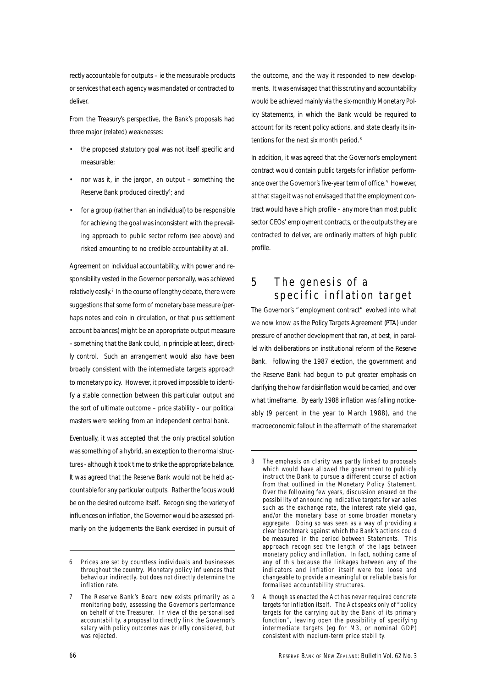rectly accountable for *outputs* – ie the measurable products or services that each agency was mandated or contracted to deliver.

From the Treasury's perspective, the Bank's proposals had three major (related) weaknesses:

- the proposed statutory goal was not itself specific and measurable;
- nor was it, in the jargon, an output something the Reserve Bank produced directly<sup>6</sup>; and
- for a group (rather than an individual) to be responsible for achieving the goal was inconsistent with the prevailing approach to public sector reform (see above) and risked amounting to no credible accountability at all.

Agreement on individual accountability, with power and responsibility vested in the Governor personally, was achieved relatively easily.<sup>7</sup> In the course of lengthy debate, there were suggestions that some form of monetary base measure (perhaps notes and coin in circulation, or that plus settlement account balances) might be an appropriate output measure – something that the Bank could, in principle at least, directly control. Such an arrangement would also have been broadly consistent with the intermediate targets approach to monetary policy. However, it proved impossible to identify a stable connection between this particular *output* and the sort of ultimate *outcome* – price stability – our political masters were seeking from an independent central bank.

Eventually, it was accepted that the only practical solution was something of a hybrid, an exception to the normal structures - although it took time to strike the appropriate balance. It was agreed that the Reserve Bank would not be held accountable for any particular *outputs*. Rather the focus would be on the desired *outcome* itself. Recognising the variety of influences on inflation, the Governor would be assessed primarily on the *judgements* the Bank exercised in pursuit of the outcome, and the way it responded to new developments. It was envisaged that this scrutiny and accountability would be achieved mainly via the six-monthly *Monetary Policy Statements*, in which the Bank would be required to account for its recent policy actions, and state clearly its intentions for the next six month period.<sup>8</sup>

In addition, it was agreed that the Governor's employment contract would contain public targets for inflation performance over the Governor's five-year term of office.<sup>9</sup> However, at that stage it was not envisaged that the employment contract would have a high profile – any more than most public sector CEOs' employment contracts, or the outputs they are contracted to deliver, are ordinarily matters of high public profile.

# 5 The genesis of a specific inflation target

The Governor's "employment contract" evolved into what we now know as the Policy Targets Agreement (PTA) under pressure of another development that ran, at best, in parallel with deliberations on institutional reform of the Reserve Bank. Following the 1987 election, the government and the Reserve Bank had begun to put greater emphasis on clarifying the how far disinflation would be carried, and over what timeframe. By early 1988 inflation was falling noticeably (9 percent in the year to March 1988), and the macroeconomic fallout in the aftermath of the sharemarket

<sup>6</sup> Prices are set by countless individuals and businesses throughout the country. Monetary policy influences that behaviour indirectly, but does not directly determine the inflation rate.

<sup>7</sup> The Reserve Bank's Board now exists primarily as a monitoring body, assessing the Governor's performance on behalf of the Treasurer. In view of the personalised accountability, a proposal to directly link the Governor's salary with policy outcomes was briefly considered, but was rejected.

<sup>8</sup> The emphasis on clarity was partly linked to proposals which would have allowed the government to publicly instruct the Bank to pursue a different course of action from that outlined in the *Monetary Policy Statement*. Over the following few years, discussion ensued on the possibility of announcing indicative targets for variables such as the exchange rate, the interest rate yield gap, and/or the monetary base or some broader monetary aggregate. Doing so was seen as a way of providing a clear benchmark against which the Bank's actions could be measured in the period between *Statements*. This approach recognised the length of the lags between monetary policy and inflation. In fact, nothing came of any of this because the linkages between any of the indicators and inflation itself were too loose and changeable to provide a meaningful or reliable basis for formalised accountability structures.

<sup>9</sup> Although as enacted the Act has never required concrete targets for *inflation* itself. The Act speaks only of "policy targets for the carrying out by the Bank of its primary function", leaving open the possibility of specifying intermediate targets (eg for M3, or nominal GDP) consistent with medium-term price stability.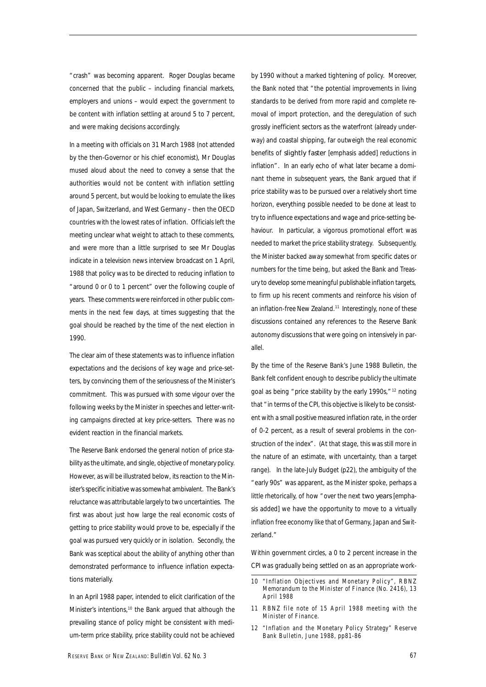"crash" was becoming apparent. Roger Douglas became concerned that the public – including financial markets, employers and unions – would expect the government to be content with inflation settling at around 5 to 7 percent, and were making decisions accordingly.

In a meeting with officials on 31 March 1988 (not attended by the then-Governor or his chief economist), Mr Douglas mused aloud about the need to convey a sense that the authorities would not be content with inflation settling around 5 percent, but would be looking to emulate the likes of Japan, Switzerland, and West Germany – then the OECD countries with the lowest rates of inflation. Officials left the meeting unclear what weight to attach to these comments, and were more than a little surprised to see Mr Douglas indicate in a television news interview broadcast on 1 April, 1988 that policy was to be directed to reducing inflation to "around 0 or 0 to 1 percent" over the following couple of years. These comments were reinforced in other public comments in the next few days, at times suggesting that the goal should be reached by the time of the next election in 1990.

The clear aim of these statements was to influence inflation expectations and the decisions of key wage and price-setters, by convincing them of the seriousness of the Minister's commitment. This was pursued with some vigour over the following weeks by the Minister in speeches and letter-writing campaigns directed at key price-setters. There was no evident reaction in the financial markets.

The Reserve Bank endorsed the general notion of price stability as the ultimate, and single, objective of monetary policy. However, as will be illustrated below, its reaction to the Minister's specific initiative was somewhat ambivalent. The Bank's reluctance was attributable largely to two uncertainties. The first was about just how large the real economic costs of getting to price stability would prove to be, especially if the goal was pursued very quickly or in isolation. Secondly, the Bank was sceptical about the ability of anything other than demonstrated performance to influence inflation expectations materially.

In an April 1988 paper, intended to elicit clarification of the Minister's intentions,10 the Bank argued that although the prevailing stance of policy might be consistent with medium-term price stability, price stability could not be achieved

by 1990 without a marked tightening of policy. Moreover, the Bank noted that "the potential improvements in living standards to be derived from more rapid and complete removal of import protection, and the deregulation of such grossly inefficient sectors as the waterfront (already underway) and coastal shipping, far outweigh the real economic benefits of slightly faster [emphasis added] reductions in inflation". In an early echo of what later became a dominant theme in subsequent years, the Bank argued that if price stability was to be pursued over a relatively short time horizon, everything possible needed to be done at least to try to influence expectations and wage and price-setting behaviour. In particular, a vigorous promotional effort was needed to market the price stability strategy. Subsequently, the Minister backed away somewhat from specific dates or numbers for the time being, but asked the Bank and Treasury to develop some meaningful publishable inflation targets, to firm up his recent comments and reinforce his vision of an inflation-free New Zealand.<sup>11</sup> Interestingly, none of these discussions contained any references to the Reserve Bank autonomy discussions that were going on intensively in parallel.

By the time of the Reserve Bank's June 1988 *Bulletin,* the Bank felt confident enough to describe publicly the ultimate goal as being "price stability by the early 1990s,"<sup>12</sup> noting that "in terms of the CPI, this objective is likely to be consistent with a small positive measured inflation rate, in the order of 0-2 percent, as a result of several problems in the construction of the index". (At that stage, this was still more in the nature of an estimate, with uncertainty, than a target range). In the late-July Budget (p22), the ambiguity of the "early 90s" was apparent, as the Minister spoke, perhaps a little rhetorically, of how "over the next two years [emphasis added] we have the opportunity to move to a virtually inflation free economy like that of Germany, Japan and Switzerland."

Within government circles, a 0 to 2 percent increase in the CPI was gradually being settled on as an appropriate work-

- 11 RBNZ file note of 15 April 1988 meeting with the Minister of Finance.
- 12 "Inflation and the Monetary Policy Strategy" Reserve Bank Bulletin, June 1988, pp81-86

<sup>10 &</sup>quot;Inflation Objectives and Monetary Policy", RBNZ Memorandum to the Minister of Finance (No. 2416), 13 April 1988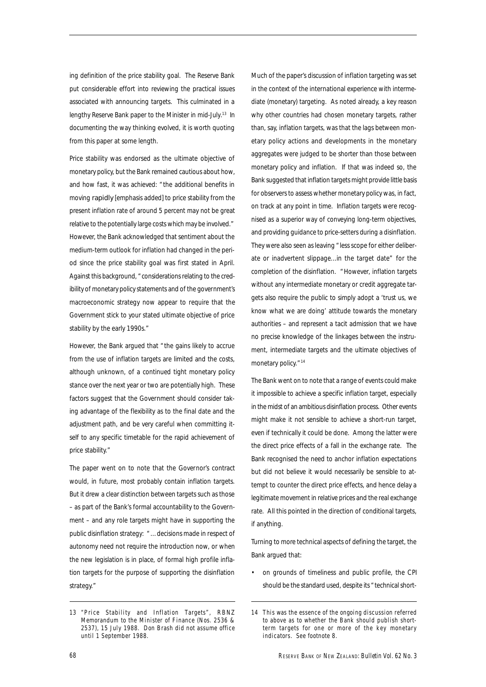ing definition of the price stability goal. The Reserve Bank put considerable effort into reviewing the practical issues associated with announcing targets. This culminated in a lengthy Reserve Bank paper to the Minister in mid-July.<sup>13</sup> In documenting the way thinking evolved, it is worth quoting from this paper at some length.

Price stability was endorsed as the ultimate objective of monetary policy, but the Bank remained cautious about how, and how fast, it was achieved: "the additional benefits in moving rapidly [emphasis added] to price stability from the present inflation rate of around 5 percent may not be great relative to the potentially large costs which may be involved." However, the Bank acknowledged that sentiment about the medium-term outlook for inflation had changed in the period since the price stability goal was first stated in April. Against this background, "considerations relating to the credibility of monetary policy statements and of the government's macroeconomic strategy now appear to require that the Government stick to your stated ultimate objective of price stability by the early 1990s."

However, the Bank argued that "the gains likely to accrue from the use of inflation targets are limited and the costs, although unknown, of a continued tight monetary policy stance over the next year or two are potentially high. These factors suggest that the Government should consider taking advantage of the flexibility as to the final date and the adjustment path, and be very careful when committing itself to any specific timetable for the rapid achievement of price stability."

The paper went on to note that the Governor's contract would, in future, most probably contain inflation targets. But it drew a clear distinction between targets such as those – as part of the Bank's formal accountability to the Government – and any role targets might have in supporting the public disinflation strategy: "…decisions made in respect of autonomy need not require the introduction now, or when the new legislation is in place, of formal high profile inflation targets for the purpose of supporting the disinflation strategy."

Much of the paper's discussion of inflation targeting was set in the context of the international experience with intermediate (monetary) targeting. As noted already, a key reason why other countries had chosen monetary targets, rather than, say, inflation targets, was that the lags between monetary policy actions and developments in the monetary aggregates were judged to be shorter than those between monetary policy and inflation. If that was indeed so, the Bank suggested that inflation targets might provide little basis for observers to assess whether monetary policy was, in fact, on track at any point in time. Inflation targets were recognised as a superior way of conveying long-term objectives, and providing guidance to price-setters during a disinflation. They were also seen as leaving "less scope for either deliberate or inadvertent slippage...in the target date" for the completion of the disinflation. "However, inflation targets without any intermediate monetary or credit aggregate targets also require the public to simply adopt a 'trust us, we know what we are doing' attitude towards the monetary authorities – and represent a tacit admission that we have no precise knowledge of the linkages between the instrument, intermediate targets and the ultimate objectives of monetary policy."<sup>14</sup>

The Bank went on to note that a range of events could make it impossible to achieve a specific inflation target, especially in the midst of an ambitious disinflation process. Other events might make it not sensible to achieve a short-run target, even if technically it could be done. Among the latter were the direct price effects of a fall in the exchange rate. The Bank recognised the need to anchor inflation expectations but did not believe it would necessarily be sensible to attempt to counter the direct price effects, and hence delay a legitimate movement in relative prices and the real exchange rate. All this pointed in the direction of conditional targets, if anything.

Turning to more technical aspects of defining the target, the Bank argued that:

• on grounds of timeliness and public profile, the CPI should be the standard used, despite its "technical short-

<sup>13 &</sup>quot;Price Stability and Inflation Targets", RBNZ Memorandum to the Minister of Finance (Nos. 2536 & 2537), 15 July 1988. Don Brash did not assume office until 1 September 1988.

<sup>14</sup> This was the essence of the ongoing discussion referred to above as to whether the Bank should publish shortterm targets for one or more of the key monetary indicators. See footnote 8.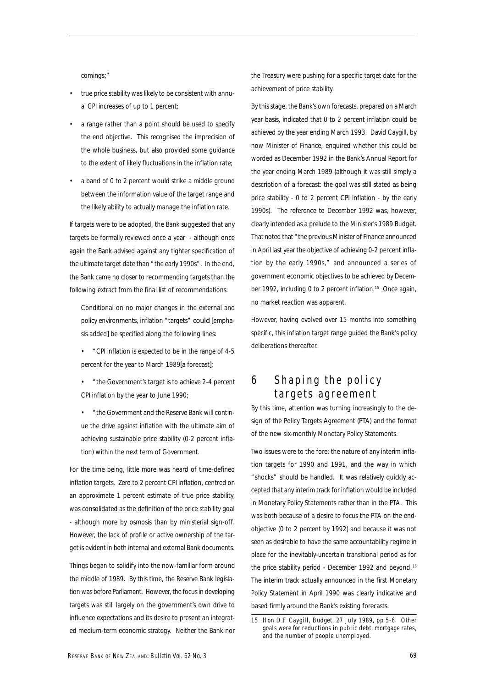comings;"

- true price stability was likely to be consistent with annual CPI increases of up to 1 percent;
- a range rather than a point should be used to specify the end objective. This recognised the imprecision of the whole business, but also provided some guidance to the extent of likely fluctuations in the inflation rate;
- a band of 0 to 2 percent would strike a middle ground between the information value of the target range and the likely ability to actually manage the inflation rate.

If targets were to be adopted, the Bank suggested that any targets be formally reviewed once a year - although once again the Bank advised against any tighter specification of the ultimate target date than "the early 1990s". In the end, the Bank came no closer to recommending targets than the following extract from the final list of recommendations:

Conditional on no major changes in the external and policy environments, inflation "targets" could [emphasis added] be specified along the following lines:

- "CPI inflation is expected to be in the range of 4-5 percent for the year to March 1989[a forecast];
- "the Government's target is to achieve 2-4 percent CPI inflation by the year to June 1990;
- "the Government and the Reserve Bank will continue the drive against inflation with the ultimate aim of achieving sustainable price stability (0-2 percent inflation) within the next term of Government.

For the time being, little more was heard of time-defined inflation targets. Zero to 2 percent CPI inflation, centred on an approximate 1 percent estimate of true price stability, was consolidated as the definition of the price stability goal - although more by osmosis than by ministerial sign-off. However, the lack of profile or active ownership of the target is evident in both internal and external Bank documents.

Things began to solidify into the now-familiar form around the middle of 1989. By this time, the Reserve Bank legislation was before Parliament. However, the focus in developing targets was still largely on the government's own drive to influence expectations and its desire to present an integrated medium-term economic strategy. Neither the Bank nor

the Treasury were pushing for a specific target date for the achievement of price stability.

By this stage, the Bank's own forecasts, prepared on a March year basis, indicated that 0 to 2 percent inflation could be achieved by the year ending March 1993. David Caygill, by now Minister of Finance, enquired whether this could be worded as December 1992 in the Bank's Annual Report for the year ending March 1989 (although it was still simply a description of a forecast: the goal was still stated as being price stability - 0 to 2 percent CPI inflation - by the early 1990s). The reference to December 1992 was, however, clearly intended as a prelude to the Minister's 1989 Budget. That noted that "the previous Minister of Finance announced in April last year the objective of achieving 0-2 percent inflation by the early 1990s," and announced a series of government economic objectives to be achieved by December 1992, including 0 to 2 percent inflation.<sup>15</sup> Once again, no market reaction was apparent.

However, having evolved over 15 months into something specific, this inflation target range guided the Bank's policy deliberations thereafter.

### 6 Shaping the policy targets agreement

By this time, attention was turning increasingly to the design of the Policy Targets Agreement (PTA) and the format of the new six-monthly *Monetary Policy Statements*.

Two issues were to the fore: the nature of any interim inflation targets for 1990 and 1991, and the way in which "shocks" should be handled. It was relatively quickly accepted that any interim track for inflation would be included in *Monetary Policy Statements* rather than in the PTA. This was both because of a desire to focus the PTA on the endobjective (0 to 2 percent by 1992) and because it was not seen as desirable to have the same accountability regime in place for the inevitably-uncertain transitional period as for the price stability period - December 1992 and beyond.<sup>16</sup> The interim track actually announced in the first *Monetary Policy Statement* in April 1990 was clearly indicative and based firmly around the Bank's existing forecasts.

<sup>15</sup> Hon D F Caygill, Budget, 27 July 1989, pp 5-6. Other goals were for reductions in public debt, mortgage rates, and the number of people unemployed.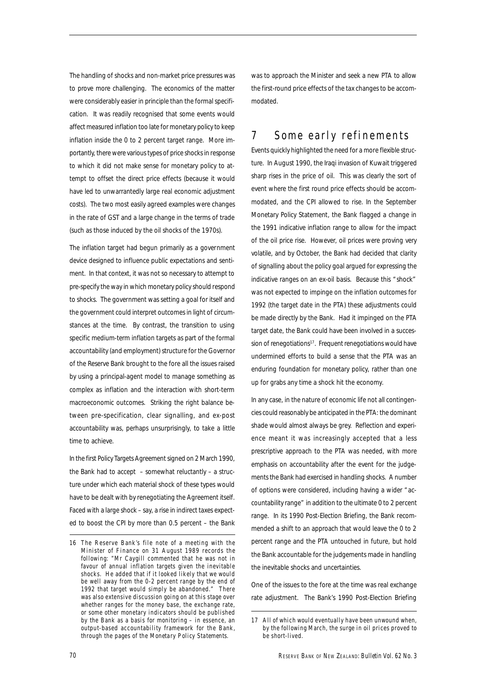The handling of shocks and non-market price pressures was to prove more challenging. The economics of the matter were considerably easier in principle than the formal specification. It was readily recognised that some events would affect measured inflation too late for monetary policy to keep inflation inside the 0 to 2 percent target range. More importantly, there were various types of price shocks in response to which it did not make sense for monetary policy to attempt to offset the direct price effects (because it would have led to unwarrantedly large real economic adjustment costs). The two most easily agreed examples were changes in the rate of GST and a large change in the terms of trade (such as those induced by the oil shocks of the 1970s).

The inflation target had begun primarily as a government device designed to influence public expectations and sentiment. In that context, it was not so necessary to attempt to pre-specify the way in which monetary policy should respond to shocks. The government was setting a goal for itself and the government could interpret outcomes in light of circumstances at the time. By contrast, the transition to using specific medium-term inflation targets as part of the formal accountability (and employment) structure for the Governor of the Reserve Bank brought to the fore all the issues raised by using a principal-agent model to manage something as complex as inflation and the interaction with short-term macroeconomic outcomes. Striking the right balance between pre-specification, clear signalling, and ex-post accountability was, perhaps unsurprisingly, to take a little time to achieve.

In the first *Policy Targets Agreement* signed on 2 March 1990, the Bank had to accept – somewhat reluctantly – a structure under which each material shock of these types would have to be dealt with by renegotiating the Agreement itself. Faced with a large shock – say, a rise in indirect taxes expected to boost the CPI by more than 0.5 percent – the Bank was to approach the Minister and seek a new PTA to allow the first-round price effects of the tax changes to be accommodated.

## 7 Some early refinements

Events quickly highlighted the need for a more flexible structure. In August 1990, the Iraqi invasion of Kuwait triggered sharp rises in the price of oil. This was clearly the sort of event where the first round price effects should be accommodated, and the CPI allowed to rise. In the September *Monetary Policy Statement*, the Bank flagged a change in the 1991 indicative inflation range to allow for the impact of the oil price rise. However, oil prices were proving very volatile, and by October, the Bank had decided that clarity of signalling about the policy goal argued for expressing the indicative ranges on an ex-oil basis. Because this "shock" was not expected to impinge on the inflation outcomes for 1992 (the target date in the PTA) these adjustments could be made directly by the Bank. Had it impinged on the PTA target date, the Bank could have been involved in a succession of renegotiations<sup>17</sup>. Frequent renegotiations would have undermined efforts to build a sense that the PTA was an enduring foundation for monetary policy, rather than one up for grabs any time a shock hit the economy.

In any case, in the nature of economic life not all contingencies could reasonably be anticipated in the PTA: the dominant shade would almost always be grey. Reflection and experience meant it was increasingly accepted that a less prescriptive approach to the PTA was needed, with more emphasis on accountability after the event for the judgements the Bank had exercised in handling shocks. A number of options were considered, including having a wider "accountability range" in addition to the ultimate 0 to 2 percent range. In its 1990 Post-Election Briefing, the Bank recommended a shift to an approach that would leave the 0 to 2 percent range and the PTA untouched in future, but hold the Bank accountable for the judgements made in handling the inevitable shocks and uncertainties.

One of the issues to the fore at the time was real exchange rate adjustment. The Bank's 1990 Post-Election Briefing

<sup>16</sup> The Reserve Bank's file note of a meeting with the Minister of Finance on 31 August 1989 records the following: "Mr Caygill commented that he was not in favour of annual inflation targets given the inevitable shocks. He added that if it looked likely that we would be well away from the 0-2 percent range by the end of 1992 that target would simply be abandoned." There was also extensive discussion going on at this stage over whether ranges for the money base, the exchange rate, or some other monetary indicators should be published by the Bank as a basis for monitoring – in essence, an output-based accountability framework for the Bank, through the pages of the *Monetary Policy Statements*.

<sup>17</sup> All of which would eventually have been unwound when, by the following March, the surge in oil prices proved to be short-lived.